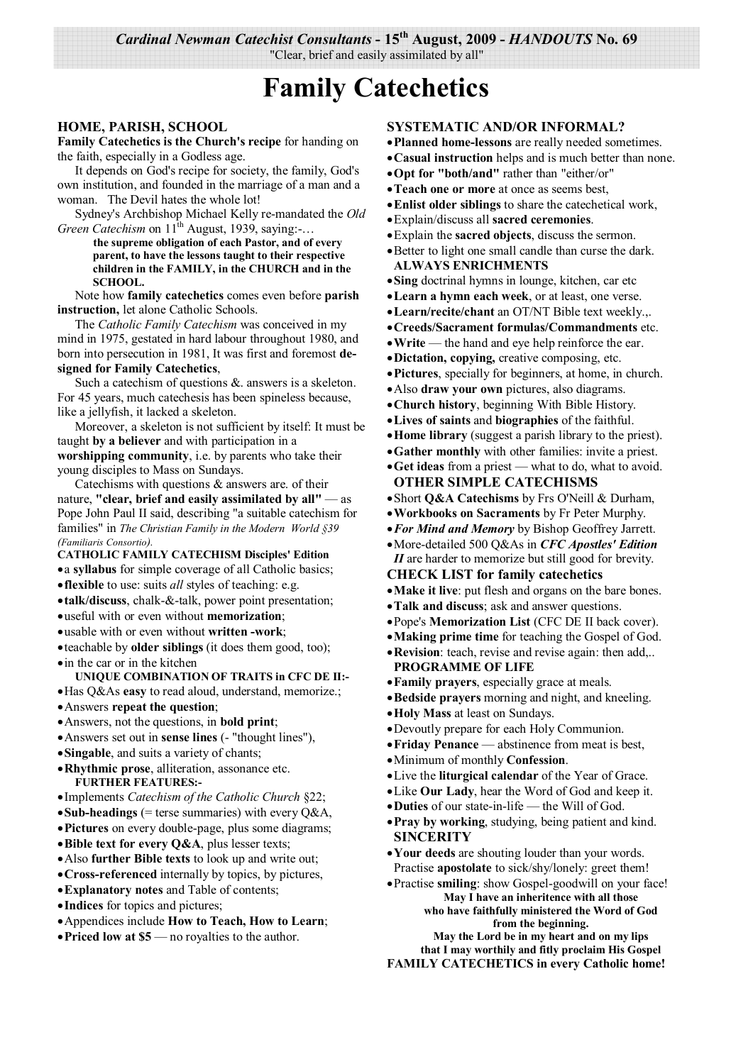*Cardinal Newman Catechist Consultants* **- 15th August, 2009 -** *HANDOUTS* **No. 69** 

"Clear, brief and easily assimilated by all"

# **Family Catechetics**

#### **HOME, PARISH, SCHOOL**

**Family Catechetics is the Church's recipe** for handing on the faith, especially in a Godless age.

 It depends on God's recipe for society, the family, God's own institution, and founded in the marriage of a man and a woman. The Devil hates the whole lot!

 Sydney's Archbishop Michael Kelly re-mandated the *Old Green Catechism* on  $11^{\text{th}}$  August, 1939, saying:-...

 **the supreme obligation of each Pastor, and of every parent, to have the lessons taught to their respective children in the FAMILY, in the CHURCH and in the SCHOOL.**

 Note how **family catechetics** comes even before **parish instruction,** let alone Catholic Schools.

 The *Catholic Family Catechism* was conceived in my mind in 1975, gestated in hard labour throughout 1980, and born into persecution in 1981, It was first and foremost **designed for Family Catechetics**,

 Such a catechism of questions &. answers is a skeleton. For 45 years, much catechesis has been spineless because, like a jellyfish, it lacked a skeleton.

 Moreover, a skeleton is not sufficient by itself: It must be taught **by a believer** and with participation in a **worshipping community**, i.e. by parents who take their young disciples to Mass on Sundays.

 Catechisms with questions & answers are. of their nature, **"clear, brief and easily assimilated by all"** — as Pope John Paul II said, describing "a suitable catechism for families" in *The Christian Family in the Modern World §39 (Familiaris Consortio).* 

**CATHOLIC FAMILY CATECHISM Disciples' Edition** 

- a **syllabus** for simple coverage of all Catholic basics;
- **flexible** to use: suits *all* styles of teaching: e.g.
- **talk/discuss**, chalk-&-talk, power point presentation;
- useful with or even without **memorization**;
- usable with or even without **written -work**;
- teachable by **older siblings** (it does them good, too);

• in the car or in the kitchen

**UNIQUE COMBINATION OF TRAITS in CFC DE II:-** 

- Has Q&As **easy** to read aloud, understand, memorize.;
- Answers **repeat the question**;
- Answers, not the questions, in **bold print**;
- Answers set out in **sense lines** (- "thought lines"),
- **Singable**, and suits a variety of chants;
- **Rhythmic prose**, alliteration, assonance etc. **FURTHER FEATURES:-**
- Implements *Catechism of the Catholic Church* §22;
- **Sub-headings** (= terse summaries) with every  $O\&A$ ,
- **Pictures** on every double-page, plus some diagrams;
- **Bible text for every Q&A**, plus lesser texts;
- Also **further Bible texts** to look up and write out;
- **Cross-referenced** internally by topics, by pictures,
- **Explanatory notes** and Table of contents;
- **Indices** for topics and pictures;
- Appendices include **How to Teach, How to Learn**;
- **Priced low at \$5** no royalties to the author.

#### **SYSTEMATIC AND/OR INFORMAL?**

- **Planned home-lessons** are really needed sometimes.
- **Casual instruction** helps and is much better than none.
- **Opt for "both/and"** rather than "either/or"
- **Teach one or more** at once as seems best,
- **Enlist older siblings** to share the catechetical work,
- Explain/discuss all **sacred ceremonies**.
- Explain the **sacred objects**, discuss the sermon.
- Better to light one small candle than curse the dark. **ALWAYS ENRICHMENTS**
- **Sing** doctrinal hymns in lounge, kitchen, car etc
- **Learn a hymn each week**, or at least, one verse.
- **Learn/recite/chant** an OT/NT Bible text weekly.,.
- **Creeds/Sacrament formulas/Commandments** etc.
- **Write** the hand and eye help reinforce the ear.
- **Dictation, copying,** creative composing, etc.
- **Pictures**, specially for beginners, at home, in church.
- Also **draw your own** pictures, also diagrams.
- **Church history**, beginning With Bible History.
- **Lives of saints** and **biographies** of the faithful.
- **Home library** (suggest a parish library to the priest).
- **Gather monthly** with other families: invite a priest.
- **Get ideas** from a priest what to do, what to avoid. **OTHER SIMPLE CATECHISMS**
- Short **Q&A Catechisms** by Frs O'Neill & Durham,
- **Workbooks on Sacraments** by Fr Peter Murphy.
- *For Mind and Memory* by Bishop Geoffrey Jarrett.
- More-detailed 500 Q&As in *CFC Apostles' Edition II* are harder to memorize but still good for brevity.
- **CHECK LIST for family catechetics**
- **Make it live**: put flesh and organs on the bare bones.
- **Talk and discuss**; ask and answer questions.
- Pope's **Memorization List** (CFC DE II back cover).
- **Making prime time** for teaching the Gospel of God.
- **Revision**: teach, revise and revise again: then add,.. **PROGRAMME OF LIFE**
- **Family prayers**, especially grace at meals.
- **Bedside prayers** morning and night, and kneeling.
- **Holy Mass** at least on Sundays.
- Devoutly prepare for each Holy Communion.
- **Friday Penance**  abstinence from meat is best,
- Minimum of monthly **Confession**.
- Live the **liturgical calendar** of the Year of Grace.
- Like **Our Lady**, hear the Word of God and keep it.
- **Duties** of our state-in-life the Will of God.
- **Pray by working**, studying, being patient and kind. **SINCERITY**
- **Your deeds** are shouting louder than your words. Practise **apostolate** to sick/shy/lonely: greet them!
- Practise **smiling**: show Gospel-goodwill on your face! **May I have an inheritence with all those** 
	- **who have faithfully ministered the Word of God from the beginning.**

**May the Lord be in my heart and on my lips** 

**that I may worthily and fitly proclaim His Gospel FAMILY CATECHETICS in every Catholic home!**